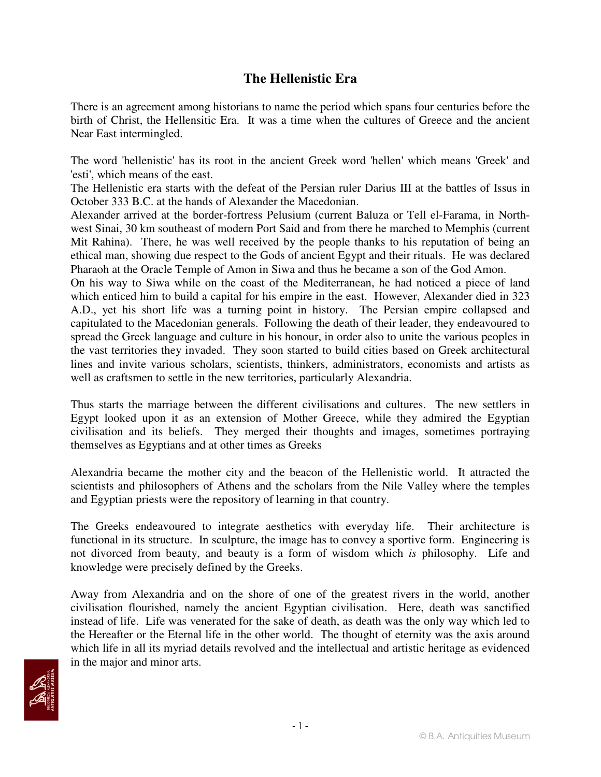## **The Hellenistic Era**

There is an agreement among historians to name the period which spans four centuries before the birth of Christ, the Hellensitic Era. It was a time when the cultures of Greece and the ancient Near East intermingled.

The word 'hellenistic' has its root in the ancient Greek word 'hellen' which means 'Greek' and 'esti', which means of the east.

The Hellenistic era starts with the defeat of the Persian ruler Darius III at the battles of Issus in October 333 B.C. at the hands of Alexander the Macedonian.

Alexander arrived at the border-fortress Pelusium (current Baluza or Tell el-Farama, in Northwest Sinai, 30 km southeast of modern Port Said and from there he marched to Memphis (current Mit Rahina). There, he was well received by the people thanks to his reputation of being an ethical man, showing due respect to the Gods of ancient Egypt and their rituals. He was declared Pharaoh at the Oracle Temple of Amon in Siwa and thus he became a son of the God Amon.

On his way to Siwa while on the coast of the Mediterranean, he had noticed a piece of land which enticed him to build a capital for his empire in the east. However, Alexander died in 323 A.D., yet his short life was a turning point in history. The Persian empire collapsed and capitulated to the Macedonian generals. Following the death of their leader, they endeavoured to spread the Greek language and culture in his honour, in order also to unite the various peoples in the vast territories they invaded. They soon started to build cities based on Greek architectural lines and invite various scholars, scientists, thinkers, administrators, economists and artists as well as craftsmen to settle in the new territories, particularly Alexandria.

Thus starts the marriage between the different civilisations and cultures. The new settlers in Egypt looked upon it as an extension of Mother Greece, while they admired the Egyptian civilisation and its beliefs. They merged their thoughts and images, sometimes portraying themselves as Egyptians and at other times as Greeks

Alexandria became the mother city and the beacon of the Hellenistic world. It attracted the scientists and philosophers of Athens and the scholars from the Nile Valley where the temples and Egyptian priests were the repository of learning in that country.

The Greeks endeavoured to integrate aesthetics with everyday life. Their architecture is functional in its structure. In sculpture, the image has to convey a sportive form. Engineering is not divorced from beauty, and beauty is a form of wisdom which *is* philosophy. Life and knowledge were precisely defined by the Greeks.

Away from Alexandria and on the shore of one of the greatest rivers in the world, another civilisation flourished, namely the ancient Egyptian civilisation. Here, death was sanctified instead of life. Life was venerated for the sake of death, as death was the only way which led to the Hereafter or the Eternal life in the other world. The thought of eternity was the axis around which life in all its myriad details revolved and the intellectual and artistic heritage as evidenced in the major and minor arts.